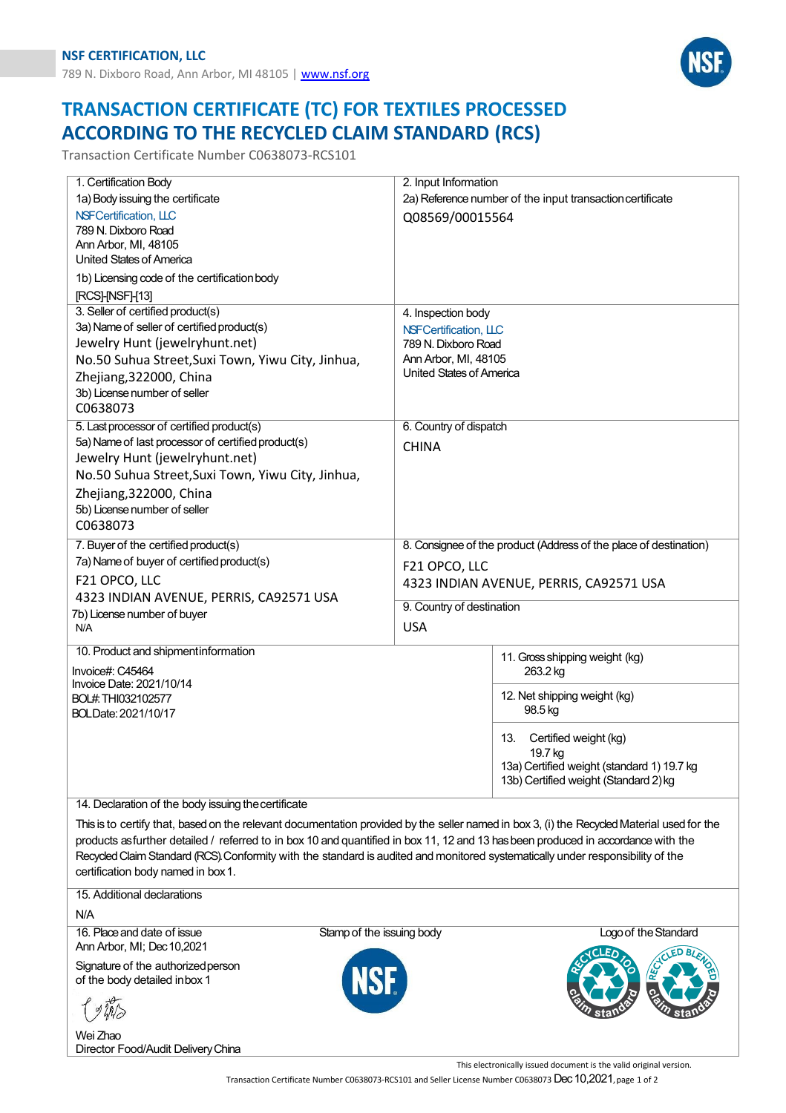

## **TRANSACTION CERTIFICATE (TC) FOR TEXTILES PROCESSED ACCORDING TO THE RECYCLED CLAIM STANDARD (RCS)**

Transaction Certificate Number C0638073-RCS101

| 1. Certification Body                               | 2. Input Information                                                                                                                       |  |  |  |
|-----------------------------------------------------|--------------------------------------------------------------------------------------------------------------------------------------------|--|--|--|
| 1a) Body issuing the certificate                    | 2a) Reference number of the input transaction certificate                                                                                  |  |  |  |
| NSFCertification, LLC                               | Q08569/00015564                                                                                                                            |  |  |  |
| 789 N. Dixboro Road                                 |                                                                                                                                            |  |  |  |
| Ann Arbor, MI, 48105<br>United States of America    |                                                                                                                                            |  |  |  |
|                                                     |                                                                                                                                            |  |  |  |
| 1b) Licensing code of the certification body        |                                                                                                                                            |  |  |  |
| [RCS]-[NSF]-[13]                                    |                                                                                                                                            |  |  |  |
| 3. Seller of certified product(s)                   | 4. Inspection body                                                                                                                         |  |  |  |
| 3a) Name of seller of certified product(s)          | NSFCertification, LLC                                                                                                                      |  |  |  |
| Jewelry Hunt (jewelryhunt.net)                      | 789 N. Dixboro Road                                                                                                                        |  |  |  |
| No.50 Suhua Street, Suxi Town, Yiwu City, Jinhua,   | Ann Arbor, MI, 48105<br>United States of America                                                                                           |  |  |  |
| Zhejiang, 322000, China                             |                                                                                                                                            |  |  |  |
| 3b) License number of seller                        |                                                                                                                                            |  |  |  |
| C0638073                                            |                                                                                                                                            |  |  |  |
| 5. Last processor of certified product(s)           | 6. Country of dispatch                                                                                                                     |  |  |  |
| 5a) Name of last processor of certified product(s)  | <b>CHINA</b>                                                                                                                               |  |  |  |
| Jewelry Hunt (jewelryhunt.net)                      |                                                                                                                                            |  |  |  |
| No.50 Suhua Street, Suxi Town, Yiwu City, Jinhua,   |                                                                                                                                            |  |  |  |
| Zhejiang, 322000, China                             |                                                                                                                                            |  |  |  |
| 5b) License number of seller                        |                                                                                                                                            |  |  |  |
| C0638073                                            |                                                                                                                                            |  |  |  |
| 7. Buyer of the certified product(s)                | 8. Consignee of the product (Address of the place of destination)                                                                          |  |  |  |
| 7a) Name of buyer of certified product(s)           | F21 OPCO, LLC                                                                                                                              |  |  |  |
| F21 OPCO, LLC                                       | 4323 INDIAN AVENUE, PERRIS, CA92571 USA                                                                                                    |  |  |  |
| 4323 INDIAN AVENUE, PERRIS, CA92571 USA             |                                                                                                                                            |  |  |  |
| 7b) License number of buyer                         | 9. Country of destination                                                                                                                  |  |  |  |
| N/A                                                 | <b>USA</b>                                                                                                                                 |  |  |  |
| 10. Product and shipmentinformation                 | 11. Gross shipping weight (kg)                                                                                                             |  |  |  |
| Invoice#: C45464                                    | 263.2 kg                                                                                                                                   |  |  |  |
| Invoice Date: 2021/10/14                            |                                                                                                                                            |  |  |  |
| BOL#.THI032102577                                   | 12. Net shipping weight (kg)                                                                                                               |  |  |  |
| BOLDate: 2021/10/17                                 | 98.5 kg                                                                                                                                    |  |  |  |
|                                                     | Certified weight (kg)<br>13.                                                                                                               |  |  |  |
|                                                     | 19.7 kg                                                                                                                                    |  |  |  |
|                                                     | 13a) Certified weight (standard 1) 19.7 kg                                                                                                 |  |  |  |
|                                                     | 13b) Certified weight (Standard 2) kg                                                                                                      |  |  |  |
| 14. Declaration of the body issuing the certificate |                                                                                                                                            |  |  |  |
|                                                     | This is to certify that, based on the relevant documentation provided by the seller named in box 3, (i) the Recycled Material used for the |  |  |  |

products as further detailed / referred to in box 10 and quantified in box 11, 12 and 13 has been produced in accordance with the Recycled Claim Standard (RCS). Conformity with the standard is audited and monitored systematically under responsibility of the certification body named in box1.

15. Additional declarations

N/A

Ann Arbor, MI; Dec10,2021

Signature of the authorized person of the body detailed inbox 1

Wei Zhao Director Food/Audit DeliveryChina

16. Place and date of issue Stamp of the issuing body Logo of the Standard





This electronically issued document is the valid original version.

Transaction Certificate Number C0638073-RCS101 and Seller License Number C0638073 Dec 10,2021, page 1 of 2